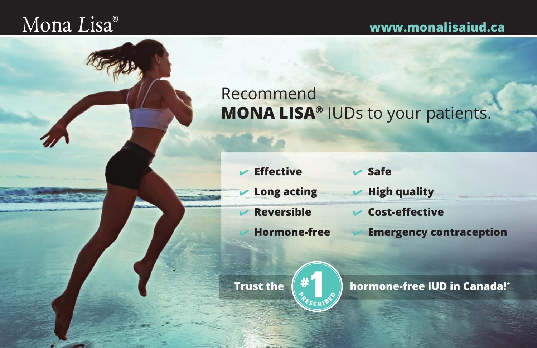## Mona Lisa®

## **www.monalisaiud.ca**

## Recommend **MONA LISA®** IUDs to your patients.

| $\mathcal{V}$ Effective            | $\triangleright$ Safe              |
|------------------------------------|------------------------------------|
| $\triangleright$ Long acting       | $\blacktriangleright$ High quality |
| $\nu$ Reversible                   | $\triangleright$ Cost-effective    |
| $\blacktriangleright$ Hormone-free | <b>Emergency contraception</b>     |



**C RE**  $\frac{1}{R}$ 

**Trust the**  $\left(\begin{array}{c} \mathbf{\#}^{\perp} \\ \mathbf{\#}^{\perp} \end{array}\right)$  **hormone-free IUD in Canada!<sup>\*</sup>**